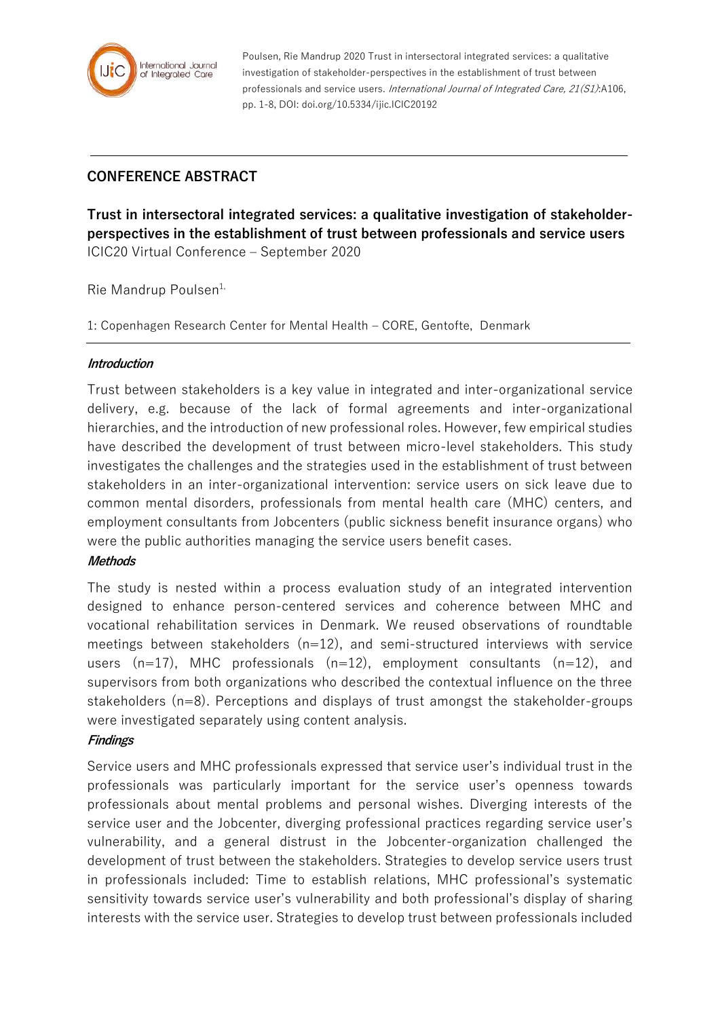

Poulsen, Rie Mandrup 2020 Trust in intersectoral integrated services: a qualitative investigation of stakeholder-perspectives in the establishment of trust between professionals and service users. International Journal of Integrated Care, 21(S1):A106, pp. 1-8, DOI: doi.org/10.5334/ijic.ICIC20192

# **CONFERENCE ABSTRACT**

**Trust in intersectoral integrated services: a qualitative investigation of stakeholderperspectives in the establishment of trust between professionals and service users** ICIC20 Virtual Conference – September 2020

Rie Mandrup Poulsen $1$ ,

1: Copenhagen Research Center for Mental Health – CORE, Gentofte, Denmark

## **Introduction**

Trust between stakeholders is a key value in integrated and inter-organizational service delivery, e.g. because of the lack of formal agreements and inter-organizational hierarchies, and the introduction of new professional roles. However, few empirical studies have described the development of trust between micro-level stakeholders. This study investigates the challenges and the strategies used in the establishment of trust between stakeholders in an inter-organizational intervention: service users on sick leave due to common mental disorders, professionals from mental health care (MHC) centers, and employment consultants from Jobcenters (public sickness benefit insurance organs) who were the public authorities managing the service users benefit cases.

# **Methods**

The study is nested within a process evaluation study of an integrated intervention designed to enhance person-centered services and coherence between MHC and vocational rehabilitation services in Denmark. We reused observations of roundtable meetings between stakeholders (n=12), and semi-structured interviews with service users  $(n=17)$ , MHC professionals  $(n=12)$ , employment consultants  $(n=12)$ , and supervisors from both organizations who described the contextual influence on the three stakeholders (n=8). Perceptions and displays of trust amongst the stakeholder-groups were investigated separately using content analysis.

# **Findings**

Service users and MHC professionals expressed that service user's individual trust in the professionals was particularly important for the service user's openness towards professionals about mental problems and personal wishes. Diverging interests of the service user and the Jobcenter, diverging professional practices regarding service user's vulnerability, and a general distrust in the Jobcenter-organization challenged the development of trust between the stakeholders. Strategies to develop service users trust in professionals included: Time to establish relations, MHC professional's systematic sensitivity towards service user's vulnerability and both professional's display of sharing interests with the service user. Strategies to develop trust between professionals included